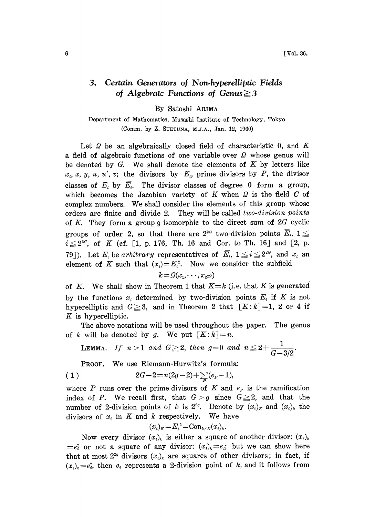## 3. Certain Generators of Non.hyperelliptic Fields of Algebraic Functions of Genus $\geq$ 3

By Satoshi ARIMA

Department of Mathematics, Musashi institute of Technology, Tokyo (Comm. by Z. SUETUNA, M.J.A., Jan. 12, 1960)

Let  $\Omega$  be an algebraically closed field of characteristic 0, and K a field of algebraic functions of one variable over  $\Omega$  whose genus will be denoted by  $G$ . We shall denote the elements of  $K$  by letters like  $x_i, x, y, u, u', v;$  the divisors by  $E_i$ , prime divisors by P, the divisor classes of  $E_i$  by  $\overline{E_i}$ . The divisor classes of degree 0 form a group, which becomes the Jacobian variety of K when  $\Omega$  is the field C of complex numbers. We shall consider the elements of this group whose orders are finite and divide 2. They will be called two-division points of K. They form a group  $\alpha$  isomorphic to the direct sum of 2G cyclic groups of order 2, so that there are  $2^{2}$  two-division points  $\overline{E}_i$ ,  $1 \leq$  $i \leq 2^{2a}$ , of K (cf. [1, p. 176, Th. 16 and Cor. to Th. 16] and [2, p. 79]). Let  $E_i$  be arbitrary representatives of  $\overline{E}_i$ ,  $1 \leq i \leq 2^{2G}$ , and  $x_i$  and element of K such that  $(x_i)=E_i^2$ . Now we consider the subfield

$$
k = \Omega(x_1, \cdots, x_{2^{2G}})
$$

of K. We shall show in Theorem 1 that  $K=k$  (i.e. that K is generated by the functions  $x_i$  determined by two-division points  $\overline{E}_i$  if K is not hyperelliptic and  $G \geq 3$ , and in Theorem 2 that  $[K:k]=1$ , 2 or 4 if K is hyperelliptic.

The above notations will be used throughout the paper. The genus of k will be denoted by g. We put  $[K:k]=n$ .

LEMMA. If  $n>1$  and  $G\geqq2,$  then  $g=0$  and  $n\leqq2+\frac{1}{G-3/2}$ 

PROOF. We use Riemann-Hurwitz's formula:

$$
(1) \t2G-2=n(2g-2)+\sum_{p}(e_{p}-1),
$$

where P runs over the prime divisors of K and  $e_p$  is the ramification index of P. We recall first, that  $G > g$  since  $G \geq 2$ , and that the number of 2-division points of k is  $2^{2g}$ . Denote by  $(x_i)_k$  and  $(x_i)_k$  the divisors of  $x_i$  in K and k respectively. We have

$$
(x_i)_k = E_i^2 = \text{Con}_{k \times K}(x_i)_k.
$$

Now every divisor  $(x_i)_k$  is either a square of another divisor:  $(x_i)_k$  $=e_i^2$  or not a square of any divisor:  $(x_i)_k=e_i$ ; but we can show here that at most  $2^{2g}$  divisors  $(x_i)_k$  are squares of other divisors; in fact, if  $(x_i)_k = e_i^2$ , then  $e_i$  represents a 2-division point of k, and it follows from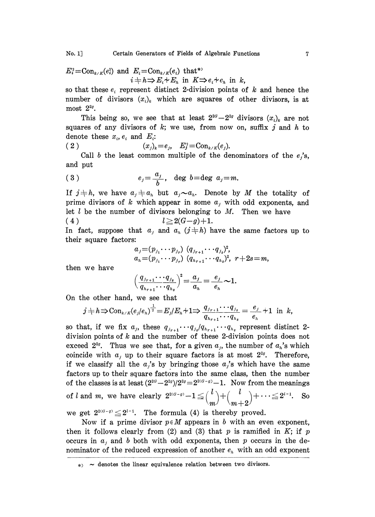$$
E_i^2 = \text{Con}_{k \times K}(e_i^2) \text{ and } E_i = \text{Con}_{k \times K}(e_i) \text{ that*}
$$
  

$$
i + h \Rightarrow E_i + E_h \text{ in } K \Rightarrow e_i + e_h \text{ in } k,
$$

so that these  $e_i$  represent distinct 2-division points of k and hence the number of divisors  $(x_i)_k$  which are squares of other divisors, is at most  $2^{2g}$ .

This being so, we see that at least  $2^{2a}-2^{2a}$  divisors  $(x_i)_k$  are not squares of any divisors of  $k$ ; we use, from now on, suffix  $j$  and  $h$  to denote these  $x_i$ ,  $e_i$  and  $E_i$ :

2 (x)--e, E]--Con/:(e).

Call b the least common multiple of the denominators of the  $e_i$ 's, and put

$$
(3) \t e_j = \frac{a_j}{b}, \t \deg b = \deg a_j = m.
$$

If  $j \neq h$ , we have  $a_j \neq a_h$  but  $a_j \sim a_h$ . Denote by M the totality of prime divisors of k which appear in some  $a_i$ , with odd exponents, and let  $l$  be the number of divisors belonging to  $M$ . Then we have (4)  $l \geq 2(G-g)+1.$ 

In fact, suppose that  $a_j$  and  $a_k$  ( $j \neq h$ ) have the same factors up to their square factors:

$$
a_j = (p_{j_1} \cdots p_{j_r}) (q_{j_{r+1}} \cdots q_{j_s})^2,
$$
  
\n
$$
a_n = (p_{j_1} \cdots p_{j_r}) (q_{j_{r+1}} \cdots q_{j_s})^2, r+2s = m,
$$

then we have

$$
\left(\frac{q_{j_{r+1}}\cdots q_{j_s}}{q_{h_{r+1}}\cdots q_{h_s}}\right)^2=\frac{a_j}{a_h}=\frac{e_j}{e_h}\sim 1.
$$

On the other hand, we see that

$$
j\neq h \Rightarrow \operatorname{Con}_{k/K}(e_j/e_h)^{\frac{1}{2}}=E_j/E_h+1 \Rightarrow \frac{q_{j_{r+1}}\cdots q_{j_s}}{q_{h_{r+1}}\cdots q_{h_s}}=\frac{e_j}{e_h}+1 \text{ in } k,
$$

so that, if we fix  $a_j$ , these  $q_{j_{r+1}} \cdots q_{j_s}/q_{n_{r+1}} \cdots q_{n_s}$  represent distinct 2division points of  $k$  and the number of these 2-division points does not exceed  $2^{2g}$ . Thus we see that, for a given  $a_j$ , the number of  $a_k$ 's which coincide with  $a_j$  up to their square factors is at most  $2^{2g}$ . Therefore, if we classify all the  $a_j$ 's by bringing those  $a_j$ 's which have the same factors up to their square factors into the same class, then the number of the classes is at least  $(2^{2a}-2^{2a})/2^{2a}=2^{2(a-a)}-1$ . Now from the meanings of *l* and *m*, we have clearly  $2^{2(a-q)} - 1 \leq {n \choose m} + {n \choose m+2} + \cdots \leq 2^{l-1}$ . So we get  $2^{2(G-g)} \leq 2^{t-1}$ . The formula (4) is thereby proved.

Now if a prime divisor  $p \in M$  appears in b with an even exponent, then it follows clearly from (2) and (3) that  $p$  is ramified in  $K$ ; if  $p$ occurs in  $a_j$  and b both with odd exponents, then p occurs in the denominator of the reduced expression of another  $e_h$  with an odd exponent

 $\ast$   $\sim$  denotes the linear equivalence relation between two divisors.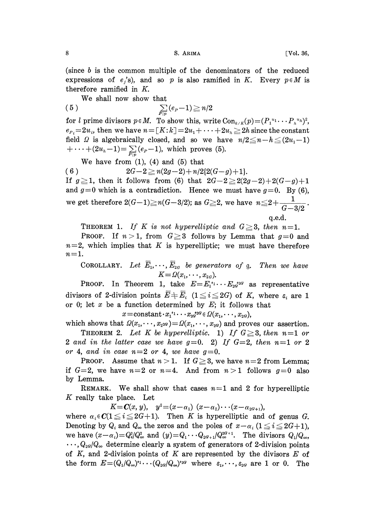(since <sup>b</sup> is the common multiple of the denominators of the reduced expressions of  $e_i$ 's), and so p is also ramified in K. Every  $p \in M$  is therefore ramified in K.

We shall now show that

$$
(5) \qquad \qquad \sum_{P|p} (e_P - 1) \geq n/2
$$

for l prime divisors  $p \in M$ . To show this, write  $Con_{k/K}(p)=(P_1^{u_1}\cdots P_n^{u_n})^2$ ,  $e_{P_i}=2u_i$ , then we have  $n=[K:k]\!=\!2u_1+\cdots +2u_n\geq 2h$  since the constant field  $\Omega$  is algebraically closed, and so we have  $n/2 \leq n-h \leq (2u_1-1)$  $+\cdots+(2u_{n}-1)=\sum_{P|n}(e_{P}-1)$ , which proves (5).

We have from  $(1)$ ,  $(4)$  and  $(5)$  that

( 6 )  $2G-2 \ge n(2g-2)+n/2{2(G-g)+1}.$ 

If  $g\geq 1$ , then it follows from (6) that  $2G-2\geq 2(2g-2)+2(G-g)+1$ and  $g=0$  which is a contradiction. Hence we must have  $g=0$ . By (6), we get therefore 2(G–1) $\geq$ n(G–3/2); as G $\geq$ 2, we have n $\leq$ 2+ $\frac{1}{G-3/2}$ q.e.d.

THEOREM 1. If K is not hyperelliptic and  $G \geq 3$ , then  $n=1$ .

**PROOF.** If  $n > 1$ , from  $G \geq 3$  follows by Lemma that  $g=0$  and  $n=2$ , which implies that K is hyperelliptic; we must have therefore  $n=1$ .

COROLLARY. Let  $\overline{E}_1, \dots, \overline{E}_{2G}$  be generators of g. Then we have  $K = \Omega(x_1, \cdots, x_{2G}).$ 

PROOF. In Theorem 1, take  $E=E_1^{i_1}\cdots E_{2g}^{i_{2}g}$  as representative divisors of 2-division points  $\overline{E} + \overline{E}_i$  ( $1 \leq i \leq 2G$ ) of K, where  $\varepsilon_i$  are 1 or 0; let x be a function determined by  $E$ ; it follows that

 $x = \text{constant} \cdot x_1^{i_1} \cdots x_{2G}^{i_2G} \in \Omega(x_1, \cdots, x_{2G}),$ 

which shows that  $\Omega(x_1,\dots,x_{2^{2G}})=\Omega(x_1,\dots,x_{2G})$  and proves our assertion. THEOREM 2. Let K be hyperelliptic. 1) If  $G \geq 3$ , then  $n=1$  or 2 and in the latter case we have  $g=0$ . 2) If  $G=2$ , then  $n=1$  or 2 or 4, and in case  $n=2$  or 4, we have  $q=0$ .

**PROOF.** Assume that  $n > 1$ . If  $G \geq 3$ , we have  $n=2$  from Lemma; if  $G=2$ , we have  $n=2$  or  $n=4$ . And from  $n>1$  follows  $g=0$  also by Lemma.

REMARK. We shall show that cases  $n=1$  and 2 for hyperelliptic K really take place. Let

 $K = C(x, y), y^2 = (x - \alpha_1)(x - \alpha_2) \cdots (x - \alpha_{2G+1}),$ 

where  $\alpha_i \in \mathbb{C} \leq i \leq 2G+1$ . Then K is hyperelliptic and of genus G. Denoting by  $Q_i$  and  $Q_{\infty}$  the zeros and the poles of  $x-\alpha_i$  ( $1 \leq i \leq 2G+1$ ), we have  $(x-\alpha_i)=Q_i^2/Q_\infty^2$  and  $(y)=Q_1\cdots Q_{2q+1}/Q_\infty^{2q+1}$ . The divisors  $Q_1/Q_\infty$ ,  $\cdots$ ,  $Q_{2q}/Q_{\infty}$  determine clearly a system of generators of 2-division points of K, and 2-division points of K are represented by the divisors  $E$  of the form  $E=(Q_1/Q_\infty)^{i_1}\cdots (Q_{2q}/Q_\infty)^{i_{2q}}$  where  $\varepsilon_1,\cdots,\varepsilon_{2q}$  are 1 or 0. The